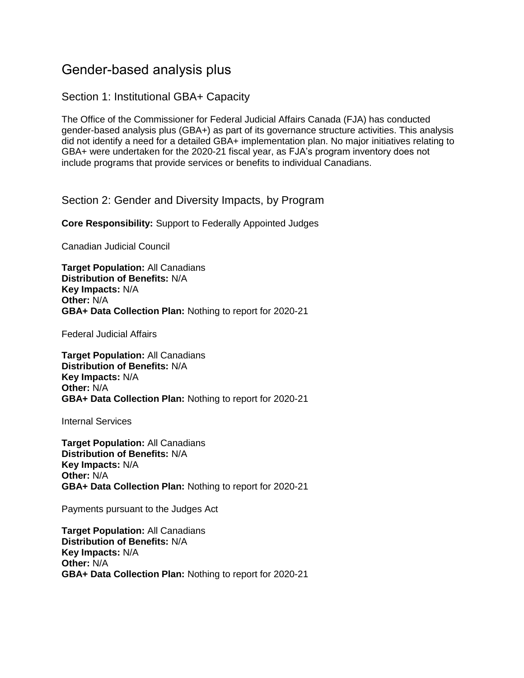# Gender-based analysis plus

#### Section 1: Institutional GBA+ Capacity

The Office of the Commissioner for Federal Judicial Affairs Canada (FJA) has conducted gender-based analysis plus (GBA+) as part of its governance structure activities. This analysis did not identify a need for a detailed GBA+ implementation plan. No major initiatives relating to GBA+ were undertaken for the 2020-21 fiscal year, as FJA's program inventory does not include programs that provide services or benefits to individual Canadians.

Section 2: Gender and Diversity Impacts, by Program

**Core Responsibility:** Support to Federally Appointed Judges

Canadian Judicial Council

**Target Population:** All Canadians **Distribution of Benefits:** N/A **Key Impacts:** N/A **Other:** N/A **GBA+ Data Collection Plan:** Nothing to report for 2020-21

Federal Judicial Affairs

**Target Population:** All Canadians **Distribution of Benefits:** N/A **Key Impacts:** N/A **Other:** N/A **GBA+ Data Collection Plan:** Nothing to report for 2020-21

Internal Services

**Target Population:** All Canadians **Distribution of Benefits:** N/A **Key Impacts:** N/A **Other:** N/A **GBA+ Data Collection Plan:** Nothing to report for 2020-21

Payments pursuant to the Judges Act

**Target Population:** All Canadians **Distribution of Benefits:** N/A **Key Impacts:** N/A **Other:** N/A **GBA+ Data Collection Plan:** Nothing to report for 2020-21